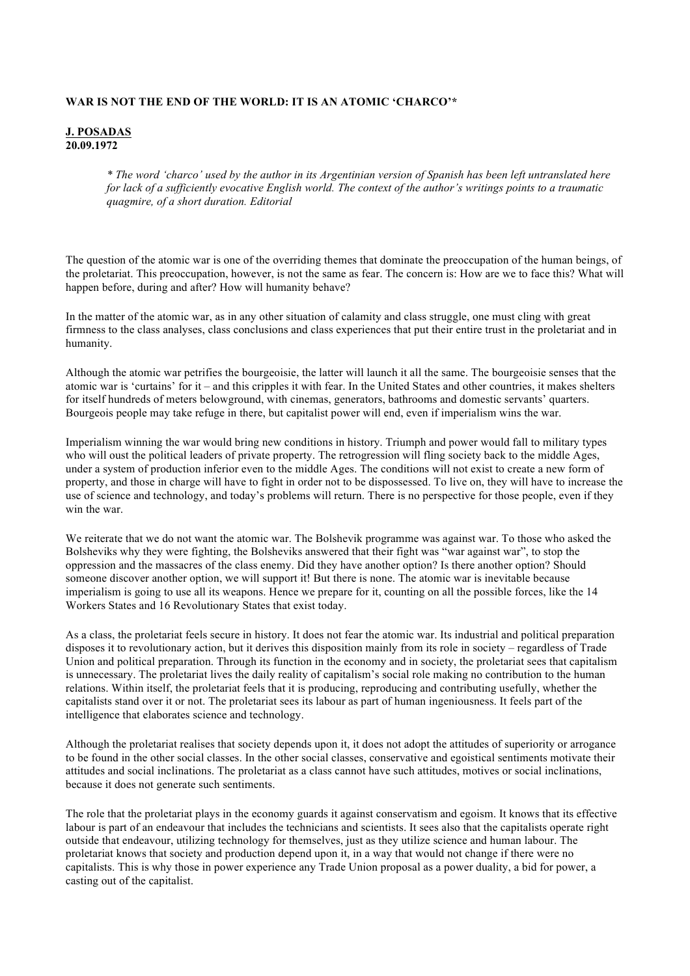## **WAR IS NOT THE END OF THE WORLD: IT IS AN ATOMIC 'CHARCO'\***

## **J. POSADAS 20.09.1972**

*\* The word 'charco' used by the author in its Argentinian version of Spanish has been left untranslated here for lack of a sufficiently evocative English world. The context of the author's writings points to a traumatic quagmire, of a short duration. Editorial*

The question of the atomic war is one of the overriding themes that dominate the preoccupation of the human beings, of the proletariat. This preoccupation, however, is not the same as fear. The concern is: How are we to face this? What will happen before, during and after? How will humanity behave?

In the matter of the atomic war, as in any other situation of calamity and class struggle, one must cling with great firmness to the class analyses, class conclusions and class experiences that put their entire trust in the proletariat and in humanity.

Although the atomic war petrifies the bourgeoisie, the latter will launch it all the same. The bourgeoisie senses that the atomic war is 'curtains' for it – and this cripples it with fear. In the United States and other countries, it makes shelters for itself hundreds of meters belowground, with cinemas, generators, bathrooms and domestic servants' quarters. Bourgeois people may take refuge in there, but capitalist power will end, even if imperialism wins the war.

Imperialism winning the war would bring new conditions in history. Triumph and power would fall to military types who will oust the political leaders of private property. The retrogression will fling society back to the middle Ages, under a system of production inferior even to the middle Ages. The conditions will not exist to create a new form of property, and those in charge will have to fight in order not to be dispossessed. To live on, they will have to increase the use of science and technology, and today's problems will return. There is no perspective for those people, even if they win the war.

We reiterate that we do not want the atomic war. The Bolshevik programme was against war. To those who asked the Bolsheviks why they were fighting, the Bolsheviks answered that their fight was "war against war", to stop the oppression and the massacres of the class enemy. Did they have another option? Is there another option? Should someone discover another option, we will support it! But there is none. The atomic war is inevitable because imperialism is going to use all its weapons. Hence we prepare for it, counting on all the possible forces, like the 14 Workers States and 16 Revolutionary States that exist today.

As a class, the proletariat feels secure in history. It does not fear the atomic war. Its industrial and political preparation disposes it to revolutionary action, but it derives this disposition mainly from its role in society – regardless of Trade Union and political preparation. Through its function in the economy and in society, the proletariat sees that capitalism is unnecessary. The proletariat lives the daily reality of capitalism's social role making no contribution to the human relations. Within itself, the proletariat feels that it is producing, reproducing and contributing usefully, whether the capitalists stand over it or not. The proletariat sees its labour as part of human ingeniousness. It feels part of the intelligence that elaborates science and technology.

Although the proletariat realises that society depends upon it, it does not adopt the attitudes of superiority or arrogance to be found in the other social classes. In the other social classes, conservative and egoistical sentiments motivate their attitudes and social inclinations. The proletariat as a class cannot have such attitudes, motives or social inclinations, because it does not generate such sentiments.

The role that the proletariat plays in the economy guards it against conservatism and egoism. It knows that its effective labour is part of an endeavour that includes the technicians and scientists. It sees also that the capitalists operate right outside that endeavour, utilizing technology for themselves, just as they utilize science and human labour. The proletariat knows that society and production depend upon it, in a way that would not change if there were no capitalists. This is why those in power experience any Trade Union proposal as a power duality, a bid for power, a casting out of the capitalist.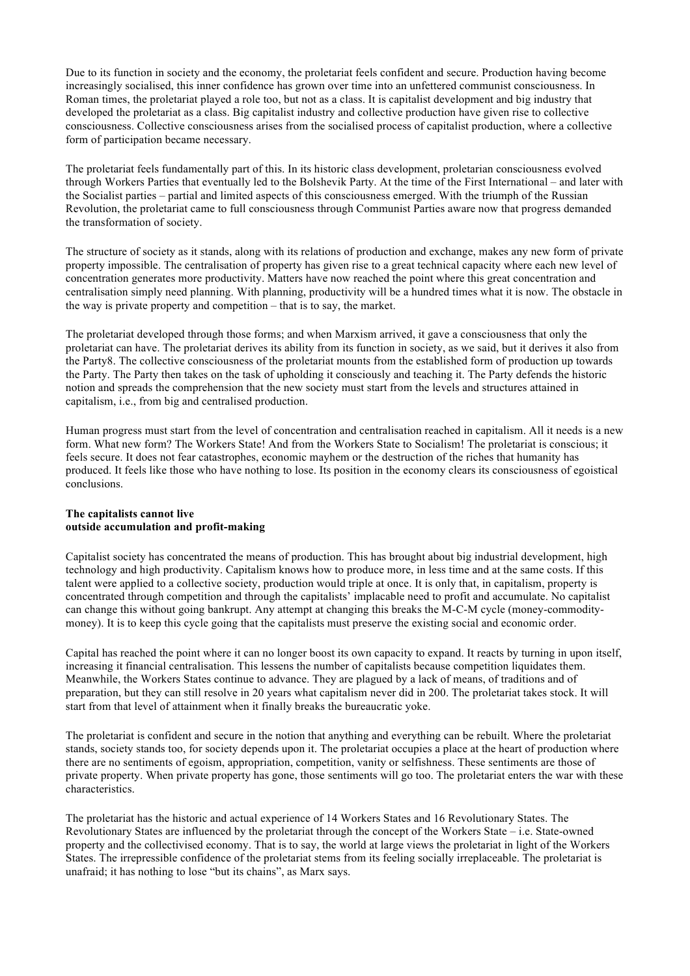Due to its function in society and the economy, the proletariat feels confident and secure. Production having become increasingly socialised, this inner confidence has grown over time into an unfettered communist consciousness. In Roman times, the proletariat played a role too, but not as a class. It is capitalist development and big industry that developed the proletariat as a class. Big capitalist industry and collective production have given rise to collective consciousness. Collective consciousness arises from the socialised process of capitalist production, where a collective form of participation became necessary.

The proletariat feels fundamentally part of this. In its historic class development, proletarian consciousness evolved through Workers Parties that eventually led to the Bolshevik Party. At the time of the First International – and later with the Socialist parties – partial and limited aspects of this consciousness emerged. With the triumph of the Russian Revolution, the proletariat came to full consciousness through Communist Parties aware now that progress demanded the transformation of society.

The structure of society as it stands, along with its relations of production and exchange, makes any new form of private property impossible. The centralisation of property has given rise to a great technical capacity where each new level of concentration generates more productivity. Matters have now reached the point where this great concentration and centralisation simply need planning. With planning, productivity will be a hundred times what it is now. The obstacle in the way is private property and competition – that is to say, the market.

The proletariat developed through those forms; and when Marxism arrived, it gave a consciousness that only the proletariat can have. The proletariat derives its ability from its function in society, as we said, but it derives it also from the Party8. The collective consciousness of the proletariat mounts from the established form of production up towards the Party. The Party then takes on the task of upholding it consciously and teaching it. The Party defends the historic notion and spreads the comprehension that the new society must start from the levels and structures attained in capitalism, i.e., from big and centralised production.

Human progress must start from the level of concentration and centralisation reached in capitalism. All it needs is a new form. What new form? The Workers State! And from the Workers State to Socialism! The proletariat is conscious; it feels secure. It does not fear catastrophes, economic mayhem or the destruction of the riches that humanity has produced. It feels like those who have nothing to lose. Its position in the economy clears its consciousness of egoistical conclusions.

## **The capitalists cannot live outside accumulation and profit-making**

Capitalist society has concentrated the means of production. This has brought about big industrial development, high technology and high productivity. Capitalism knows how to produce more, in less time and at the same costs. If this talent were applied to a collective society, production would triple at once. It is only that, in capitalism, property is concentrated through competition and through the capitalists' implacable need to profit and accumulate. No capitalist can change this without going bankrupt. Any attempt at changing this breaks the M-C-M cycle (money-commoditymoney). It is to keep this cycle going that the capitalists must preserve the existing social and economic order.

Capital has reached the point where it can no longer boost its own capacity to expand. It reacts by turning in upon itself, increasing it financial centralisation. This lessens the number of capitalists because competition liquidates them. Meanwhile, the Workers States continue to advance. They are plagued by a lack of means, of traditions and of preparation, but they can still resolve in 20 years what capitalism never did in 200. The proletariat takes stock. It will start from that level of attainment when it finally breaks the bureaucratic yoke.

The proletariat is confident and secure in the notion that anything and everything can be rebuilt. Where the proletariat stands, society stands too, for society depends upon it. The proletariat occupies a place at the heart of production where there are no sentiments of egoism, appropriation, competition, vanity or selfishness. These sentiments are those of private property. When private property has gone, those sentiments will go too. The proletariat enters the war with these characteristics.

The proletariat has the historic and actual experience of 14 Workers States and 16 Revolutionary States. The Revolutionary States are influenced by the proletariat through the concept of the Workers State – i.e. State-owned property and the collectivised economy. That is to say, the world at large views the proletariat in light of the Workers States. The irrepressible confidence of the proletariat stems from its feeling socially irreplaceable. The proletariat is unafraid; it has nothing to lose "but its chains", as Marx says.